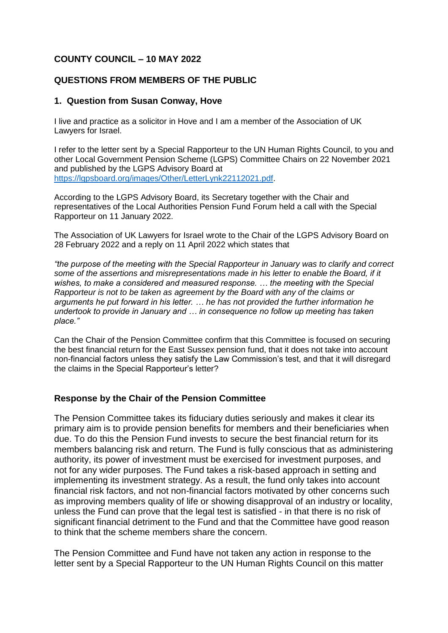# **COUNTY COUNCIL – 10 MAY 2022**

### **QUESTIONS FROM MEMBERS OF THE PUBLIC**

### **1. Question from Susan Conway, Hove**

I live and practice as a solicitor in Hove and I am a member of the Association of UK Lawyers for Israel.

I refer to the letter sent by a Special Rapporteur to the UN Human Rights Council, to you and other Local Government Pension Scheme (LGPS) Committee Chairs on 22 November 2021 and published by the LGPS Advisory Board at [https://lgpsboard.org/images/Other/LetterLynk22112021.pdf.](https://lgpsboard.org/images/Other/LetterLynk22112021.pdf)

According to the LGPS Advisory Board, its Secretary together with the Chair and representatives of the Local Authorities Pension Fund Forum held a call with the Special Rapporteur on 11 January 2022.

The Association of UK Lawyers for Israel wrote to the Chair of the LGPS Advisory Board on 28 February 2022 and a reply on 11 April 2022 which states that

*"the purpose of the meeting with the Special Rapporteur in January was to clarify and correct some of the assertions and misrepresentations made in his letter to enable the Board, if it wishes, to make a considered and measured response. … the meeting with the Special Rapporteur is not to be taken as agreement by the Board with any of the claims or arguments he put forward in his letter. … he has not provided the further information he undertook to provide in January and … in consequence no follow up meeting has taken place."*

Can the Chair of the Pension Committee confirm that this Committee is focused on securing the best financial return for the East Sussex pension fund, that it does not take into account non-financial factors unless they satisfy the Law Commission's test, and that it will disregard the claims in the Special Rapporteur's letter?

## **Response by the Chair of the Pension Committee**

The Pension Committee takes its fiduciary duties seriously and makes it clear its primary aim is to provide pension benefits for members and their beneficiaries when due. To do this the Pension Fund invests to secure the best financial return for its members balancing risk and return. The Fund is fully conscious that as administering authority, its power of investment must be exercised for investment purposes, and not for any wider purposes. The Fund takes a risk-based approach in setting and implementing its investment strategy. As a result, the fund only takes into account financial risk factors, and not non-financial factors motivated by other concerns such as improving members quality of life or showing disapproval of an industry or locality, unless the Fund can prove that the legal test is satisfied - in that there is no risk of significant financial detriment to the Fund and that the Committee have good reason to think that the scheme members share the concern.

The Pension Committee and Fund have not taken any action in response to the letter sent by a Special Rapporteur to the UN Human Rights Council on this matter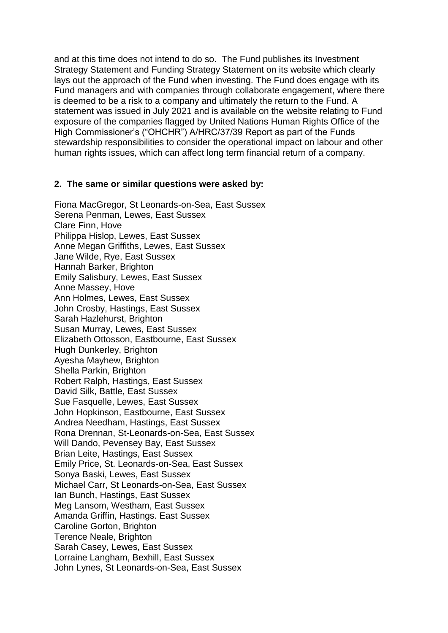and at this time does not intend to do so. The Fund publishes its Investment Strategy Statement and Funding Strategy Statement on its website which clearly lays out the approach of the Fund when investing. The Fund does engage with its Fund managers and with companies through collaborate engagement, where there is deemed to be a risk to a company and ultimately the return to the Fund. A statement was issued in July 2021 and is available on the website relating to Fund exposure of the companies flagged by United Nations Human Rights Office of the High Commissioner's ("OHCHR") A/HRC/37/39 Report as part of the Funds stewardship responsibilities to consider the operational impact on labour and other human rights issues, which can affect long term financial return of a company.

### **2. The same or similar questions were asked by:**

Fiona MacGregor, St Leonards-on-Sea, East Sussex Serena Penman, Lewes, East Sussex Clare Finn, Hove Philippa Hislop, Lewes, East Sussex Anne Megan Griffiths, Lewes, East Sussex Jane Wilde, Rye, East Sussex Hannah Barker, Brighton Emily Salisbury, Lewes, East Sussex Anne Massey, Hove Ann Holmes, Lewes, East Sussex John Crosby, Hastings, East Sussex Sarah Hazlehurst, Brighton Susan Murray, Lewes, East Sussex Elizabeth Ottosson, Eastbourne, East Sussex Hugh Dunkerley, Brighton Ayesha Mayhew, Brighton Shella Parkin, Brighton Robert Ralph, Hastings, East Sussex David Silk, Battle, East Sussex Sue Fasquelle, Lewes, East Sussex John Hopkinson, Eastbourne, East Sussex Andrea Needham, Hastings, East Sussex Rona Drennan, St-Leonards-on-Sea, East Sussex Will Dando, Pevensey Bay, East Sussex Brian Leite, Hastings, East Sussex Emily Price, St. Leonards-on-Sea, East Sussex Sonya Baski, Lewes, East Sussex Michael Carr, St Leonards-on-Sea, East Sussex Ian Bunch, Hastings, East Sussex Meg Lansom, Westham, East Sussex Amanda Griffin, Hastings. East Sussex Caroline Gorton, Brighton Terence Neale, Brighton Sarah Casey, Lewes, East Sussex Lorraine Langham, Bexhill, East Sussex John Lynes, St Leonards-on-Sea, East Sussex